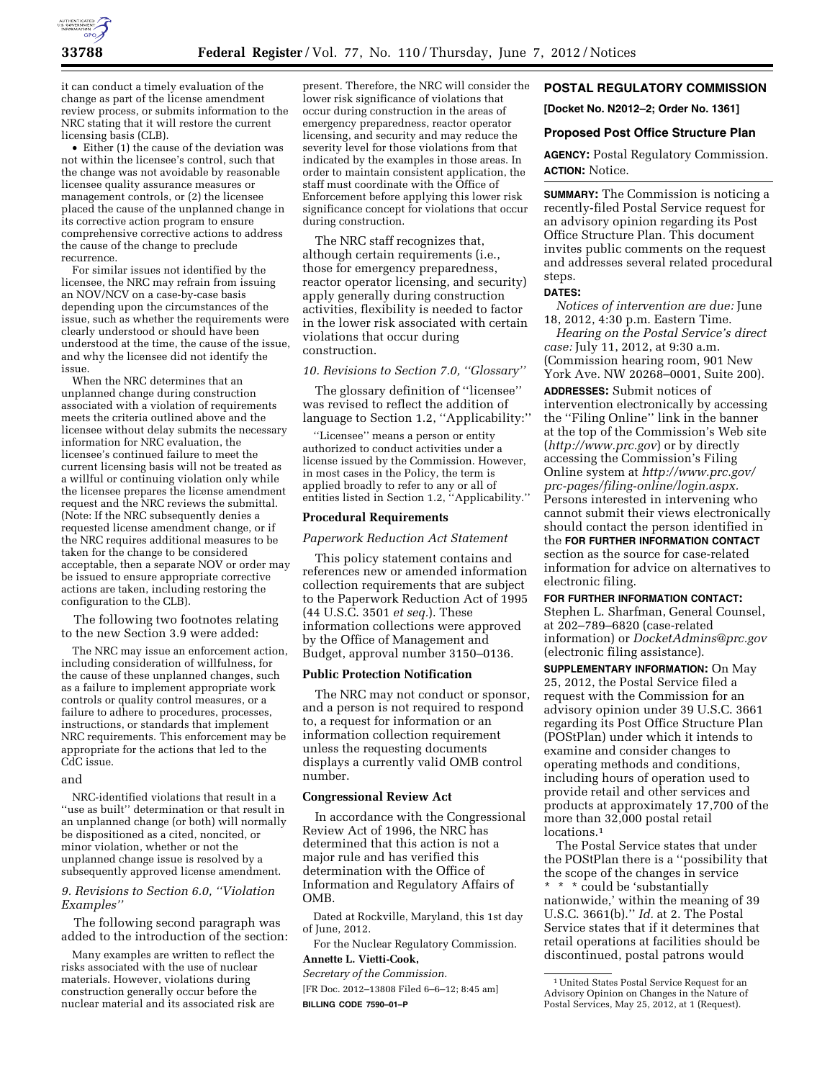

it can conduct a timely evaluation of the change as part of the license amendment review process, or submits information to the NRC stating that it will restore the current licensing basis (CLB).

• Either (1) the cause of the deviation was not within the licensee's control, such that the change was not avoidable by reasonable licensee quality assurance measures or management controls, or (2) the licensee placed the cause of the unplanned change in its corrective action program to ensure comprehensive corrective actions to address the cause of the change to preclude recurrence.

For similar issues not identified by the licensee, the NRC may refrain from issuing an NOV/NCV on a case-by-case basis depending upon the circumstances of the issue, such as whether the requirements were clearly understood or should have been understood at the time, the cause of the issue, and why the licensee did not identify the issue.

When the NRC determines that an unplanned change during construction associated with a violation of requirements meets the criteria outlined above and the licensee without delay submits the necessary information for NRC evaluation, the licensee's continued failure to meet the current licensing basis will not be treated as a willful or continuing violation only while the licensee prepares the license amendment request and the NRC reviews the submittal. (Note: If the NRC subsequently denies a requested license amendment change, or if the NRC requires additional measures to be taken for the change to be considered acceptable, then a separate NOV or order may be issued to ensure appropriate corrective actions are taken, including restoring the configuration to the CLB).

The following two footnotes relating to the new Section 3.9 were added:

The NRC may issue an enforcement action, including consideration of willfulness, for the cause of these unplanned changes, such as a failure to implement appropriate work controls or quality control measures, or a failure to adhere to procedures, processes, instructions, or standards that implement NRC requirements. This enforcement may be appropriate for the actions that led to the CdC issue.

#### and

NRC-identified violations that result in a ''use as built'' determination or that result in an unplanned change (or both) will normally be dispositioned as a cited, noncited, or minor violation, whether or not the unplanned change issue is resolved by a subsequently approved license amendment.

# *9. Revisions to Section 6.0, ''Violation Examples''*

The following second paragraph was added to the introduction of the section:

Many examples are written to reflect the risks associated with the use of nuclear materials. However, violations during construction generally occur before the nuclear material and its associated risk are

present. Therefore, the NRC will consider the lower risk significance of violations that occur during construction in the areas of emergency preparedness, reactor operator licensing, and security and may reduce the severity level for those violations from that indicated by the examples in those areas. In order to maintain consistent application, the staff must coordinate with the Office of Enforcement before applying this lower risk significance concept for violations that occur during construction.

The NRC staff recognizes that, although certain requirements (i.e., those for emergency preparedness, reactor operator licensing, and security) apply generally during construction activities, flexibility is needed to factor in the lower risk associated with certain violations that occur during construction.

## *10. Revisions to Section 7.0, ''Glossary''*

The glossary definition of ''licensee'' was revised to reflect the addition of language to Section 1.2, "Applicability:"

''Licensee'' means a person or entity authorized to conduct activities under a license issued by the Commission. However, in most cases in the Policy, the term is applied broadly to refer to any or all of entities listed in Section 1.2, ''Applicability.''

## **Procedural Requirements**

## *Paperwork Reduction Act Statement*

This policy statement contains and references new or amended information collection requirements that are subject to the Paperwork Reduction Act of 1995 (44 U.S.C. 3501 *et seq.*). These information collections were approved by the Office of Management and Budget, approval number 3150–0136.

# **Public Protection Notification**

The NRC may not conduct or sponsor, and a person is not required to respond to, a request for information or an information collection requirement unless the requesting documents displays a currently valid OMB control number.

## **Congressional Review Act**

In accordance with the Congressional Review Act of 1996, the NRC has determined that this action is not a major rule and has verified this determination with the Office of Information and Regulatory Affairs of OMB.

Dated at Rockville, Maryland, this 1st day of June, 2012.

For the Nuclear Regulatory Commission. **Annette L. Vietti-Cook,** 

*Secretary of the Commission.* 

[FR Doc. 2012–13808 Filed 6–6–12; 8:45 am] **BILLING CODE 7590–01–P** 

# **POSTAL REGULATORY COMMISSION**

**[Docket No. N2012–2; Order No. 1361]** 

# **Proposed Post Office Structure Plan**

**AGENCY:** Postal Regulatory Commission. **ACTION:** Notice.

**SUMMARY:** The Commission is noticing a recently-filed Postal Service request for an advisory opinion regarding its Post Office Structure Plan. This document invites public comments on the request and addresses several related procedural steps.

#### **DATES:**

*Notices of intervention are due:* June 18, 2012, 4:30 p.m. Eastern Time.

*Hearing on the Postal Service's direct case:* July 11, 2012, at 9:30 a.m. (Commission hearing room, 901 New York Ave. NW 20268–0001, Suite 200).

**ADDRESSES:** Submit notices of intervention electronically by accessing the ''Filing Online'' link in the banner at the top of the Commission's Web site (*<http://www.prc.gov>*) or by directly accessing the Commission's Filing Online system at *[http://www.prc.gov/](http://www.prc.gov/prc-pages/filing-online/login.aspx) [prc-pages/filing-online/login.aspx.](http://www.prc.gov/prc-pages/filing-online/login.aspx)*  Persons interested in intervening who cannot submit their views electronically should contact the person identified in the **FOR FURTHER INFORMATION CONTACT** section as the source for case-related information for advice on alternatives to electronic filing.

# **FOR FURTHER INFORMATION CONTACT:**

Stephen L. Sharfman, General Counsel, at 202–789–6820 (case-related information) or *[DocketAdmins@prc.gov](mailto:DocketAdmins@prc.gov)*  (electronic filing assistance).

**SUPPLEMENTARY INFORMATION:** On May 25, 2012, the Postal Service filed a request with the Commission for an advisory opinion under 39 U.S.C. 3661 regarding its Post Office Structure Plan (POStPlan) under which it intends to examine and consider changes to operating methods and conditions, including hours of operation used to provide retail and other services and products at approximately 17,700 of the more than 32,000 postal retail locations.<sup>1</sup>

The Postal Service states that under the POStPlan there is a ''possibility that the scope of the changes in service \* \* \* could be 'substantially nationwide,' within the meaning of 39 U.S.C. 3661(b).'' *Id.* at 2. The Postal Service states that if it determines that retail operations at facilities should be discontinued, postal patrons would

<sup>1</sup>United States Postal Service Request for an Advisory Opinion on Changes in the Nature of Postal Services, May 25, 2012, at 1 (Request).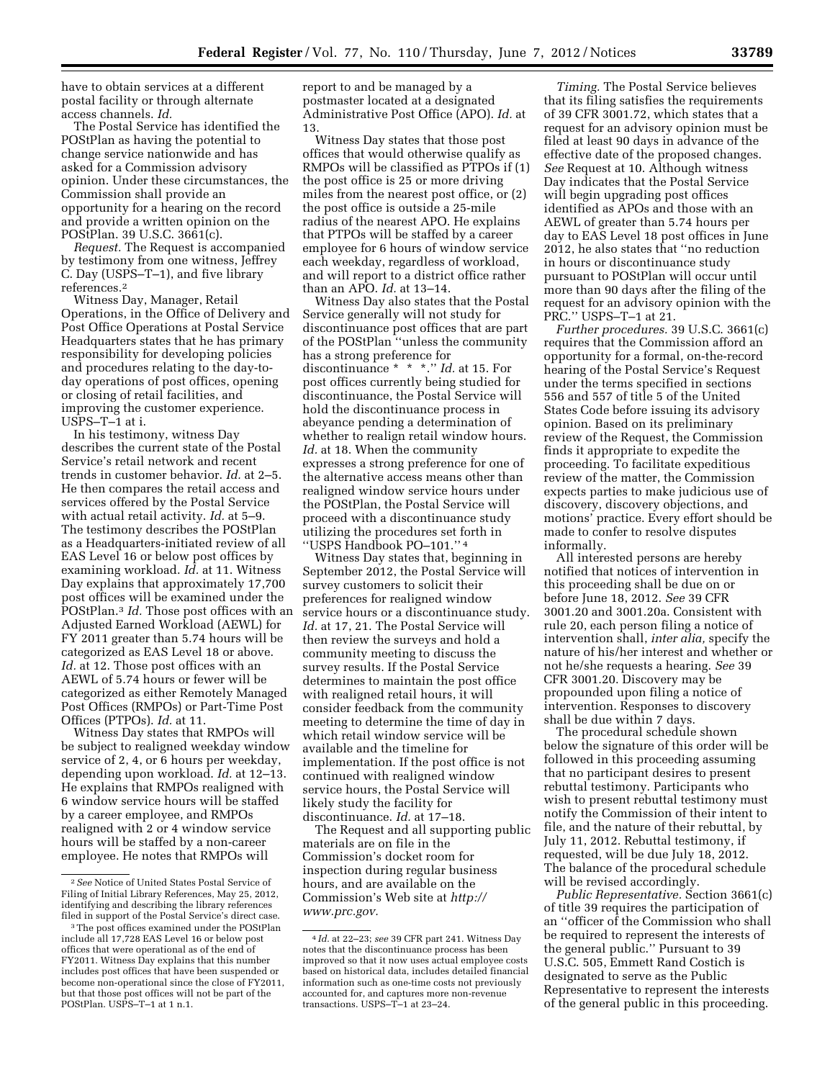have to obtain services at a different postal facility or through alternate access channels. *Id.* 

The Postal Service has identified the POStPlan as having the potential to change service nationwide and has asked for a Commission advisory opinion. Under these circumstances, the Commission shall provide an opportunity for a hearing on the record and provide a written opinion on the POStPlan. 39 U.S.C. 3661(c).

*Request.* The Request is accompanied by testimony from one witness, Jeffrey C. Day (USPS–T–1), and five library references.2

Witness Day, Manager, Retail Operations, in the Office of Delivery and Post Office Operations at Postal Service Headquarters states that he has primary responsibility for developing policies and procedures relating to the day-today operations of post offices, opening or closing of retail facilities, and improving the customer experience. USPS–T–1 at i.

In his testimony, witness Day describes the current state of the Postal Service's retail network and recent trends in customer behavior. *Id.* at 2–5. He then compares the retail access and services offered by the Postal Service with actual retail activity. *Id.* at 5–9. The testimony describes the POStPlan as a Headquarters-initiated review of all EAS Level 16 or below post offices by examining workload. *Id.* at 11. Witness Day explains that approximately 17,700 post offices will be examined under the POStPlan.3 *Id.* Those post offices with an Adjusted Earned Workload (AEWL) for FY 2011 greater than 5.74 hours will be categorized as EAS Level 18 or above. Id. at 12. Those post offices with an AEWL of 5.74 hours or fewer will be categorized as either Remotely Managed Post Offices (RMPOs) or Part-Time Post Offices (PTPOs). *Id.* at 11.

Witness Day states that RMPOs will be subject to realigned weekday window service of 2, 4, or 6 hours per weekday, depending upon workload. *Id.* at 12–13. He explains that RMPOs realigned with 6 window service hours will be staffed by a career employee, and RMPOs realigned with 2 or 4 window service hours will be staffed by a non-career employee. He notes that RMPOs will

report to and be managed by a postmaster located at a designated Administrative Post Office (APO). *Id.* at 13.

Witness Day states that those post offices that would otherwise qualify as RMPOs will be classified as PTPOs if (1) the post office is 25 or more driving miles from the nearest post office, or (2) the post office is outside a 25-mile radius of the nearest APO. He explains that PTPOs will be staffed by a career employee for 6 hours of window service each weekday, regardless of workload, and will report to a district office rather than an APO. *Id.* at 13–14.

Witness Day also states that the Postal Service generally will not study for discontinuance post offices that are part of the POStPlan ''unless the community has a strong preference for discontinuance \* \* \*.'' *Id.* at 15. For post offices currently being studied for discontinuance, the Postal Service will hold the discontinuance process in abeyance pending a determination of whether to realign retail window hours. *Id.* at 18. When the community expresses a strong preference for one of the alternative access means other than realigned window service hours under the POStPlan, the Postal Service will proceed with a discontinuance study utilizing the procedures set forth in ''USPS Handbook PO–101.'' 4

Witness Day states that, beginning in September 2012, the Postal Service will survey customers to solicit their preferences for realigned window service hours or a discontinuance study. *Id.* at 17, 21. The Postal Service will then review the surveys and hold a community meeting to discuss the survey results. If the Postal Service determines to maintain the post office with realigned retail hours, it will consider feedback from the community meeting to determine the time of day in which retail window service will be available and the timeline for implementation. If the post office is not continued with realigned window service hours, the Postal Service will likely study the facility for discontinuance. *Id.* at 17–18.

The Request and all supporting public materials are on file in the Commission's docket room for inspection during regular business hours, and are available on the Commission's Web site at *[http://](http://www.prc.gov)  [www.prc.gov.](http://www.prc.gov)* 

*Timing.* The Postal Service believes that its filing satisfies the requirements of 39 CFR 3001.72, which states that a request for an advisory opinion must be filed at least 90 days in advance of the effective date of the proposed changes. *See* Request at 10. Although witness Day indicates that the Postal Service will begin upgrading post offices identified as APOs and those with an AEWL of greater than 5.74 hours per day to EAS Level 18 post offices in June 2012, he also states that ''no reduction in hours or discontinuance study pursuant to POStPlan will occur until more than 90 days after the filing of the request for an advisory opinion with the PRC.'' USPS–T–1 at 21.

*Further procedures.* 39 U.S.C. 3661(c) requires that the Commission afford an opportunity for a formal, on-the-record hearing of the Postal Service's Request under the terms specified in sections 556 and 557 of title 5 of the United States Code before issuing its advisory opinion. Based on its preliminary review of the Request, the Commission finds it appropriate to expedite the proceeding. To facilitate expeditious review of the matter, the Commission expects parties to make judicious use of discovery, discovery objections, and motions' practice. Every effort should be made to confer to resolve disputes informally.

All interested persons are hereby notified that notices of intervention in this proceeding shall be due on or before June 18, 2012. *See* 39 CFR 3001.20 and 3001.20a. Consistent with rule 20, each person filing a notice of intervention shall, *inter alia,* specify the nature of his/her interest and whether or not he/she requests a hearing. *See* 39 CFR 3001.20. Discovery may be propounded upon filing a notice of intervention. Responses to discovery shall be due within 7 days.

The procedural schedule shown below the signature of this order will be followed in this proceeding assuming that no participant desires to present rebuttal testimony. Participants who wish to present rebuttal testimony must notify the Commission of their intent to file, and the nature of their rebuttal, by July 11, 2012. Rebuttal testimony, if requested, will be due July 18, 2012. The balance of the procedural schedule will be revised accordingly.

*Public Representative.* Section 3661(c) of title 39 requires the participation of an ''officer of the Commission who shall be required to represent the interests of the general public.'' Pursuant to 39 U.S.C. 505, Emmett Rand Costich is designated to serve as the Public Representative to represent the interests of the general public in this proceeding.

<sup>2</sup>*See* Notice of United States Postal Service of Filing of Initial Library References, May 25, 2012, identifying and describing the library references filed in support of the Postal Service's direct case.

<sup>&</sup>lt;sup>3</sup>The post offices examined under the POStPlan include all 17,728 EAS Level 16 or below post offices that were operational as of the end of FY2011. Witness Day explains that this number includes post offices that have been suspended or become non-operational since the close of FY2011, but that those post offices will not be part of the POStPlan. USPS–T–1 at 1 n.1.

<sup>4</sup> *Id.* at 22–23; *see* 39 CFR part 241. Witness Day notes that the discontinuance process has been improved so that it now uses actual employee costs based on historical data, includes detailed financial information such as one-time costs not previously accounted for, and captures more non-revenue transactions. USPS–T–1 at 23–24.